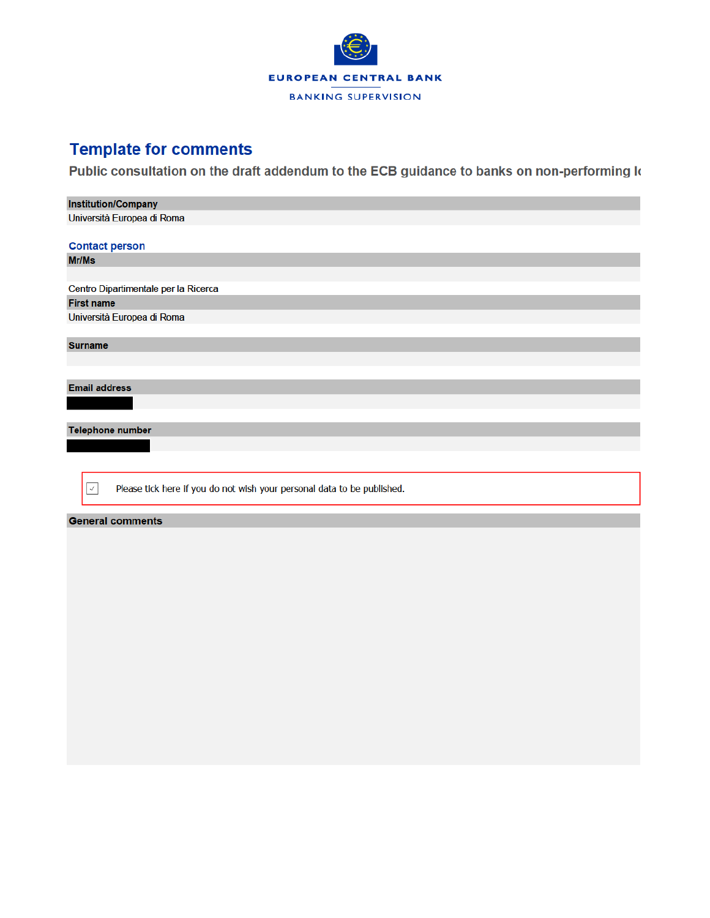

## **Template for comments**

Public consultation on the draft addendum to the ECB guidance to banks on non-performing k

| <b>Institution/Company</b>                                                              |  |  |  |  |  |  |  |  |
|-----------------------------------------------------------------------------------------|--|--|--|--|--|--|--|--|
| Università Europea di Roma                                                              |  |  |  |  |  |  |  |  |
|                                                                                         |  |  |  |  |  |  |  |  |
| <b>Contact person</b>                                                                   |  |  |  |  |  |  |  |  |
| Mr/Ms                                                                                   |  |  |  |  |  |  |  |  |
|                                                                                         |  |  |  |  |  |  |  |  |
| Centro Dipartimentale per la Ricerca                                                    |  |  |  |  |  |  |  |  |
| <b>First name</b>                                                                       |  |  |  |  |  |  |  |  |
| Università Europea di Roma                                                              |  |  |  |  |  |  |  |  |
|                                                                                         |  |  |  |  |  |  |  |  |
| <b>Surname</b>                                                                          |  |  |  |  |  |  |  |  |
|                                                                                         |  |  |  |  |  |  |  |  |
|                                                                                         |  |  |  |  |  |  |  |  |
| <b>Email address</b>                                                                    |  |  |  |  |  |  |  |  |
|                                                                                         |  |  |  |  |  |  |  |  |
|                                                                                         |  |  |  |  |  |  |  |  |
| <b>Telephone number</b>                                                                 |  |  |  |  |  |  |  |  |
|                                                                                         |  |  |  |  |  |  |  |  |
|                                                                                         |  |  |  |  |  |  |  |  |
|                                                                                         |  |  |  |  |  |  |  |  |
| Please tick here if you do not wish your personal data to be published.<br>$\checkmark$ |  |  |  |  |  |  |  |  |
|                                                                                         |  |  |  |  |  |  |  |  |
| <b>General comments</b>                                                                 |  |  |  |  |  |  |  |  |
|                                                                                         |  |  |  |  |  |  |  |  |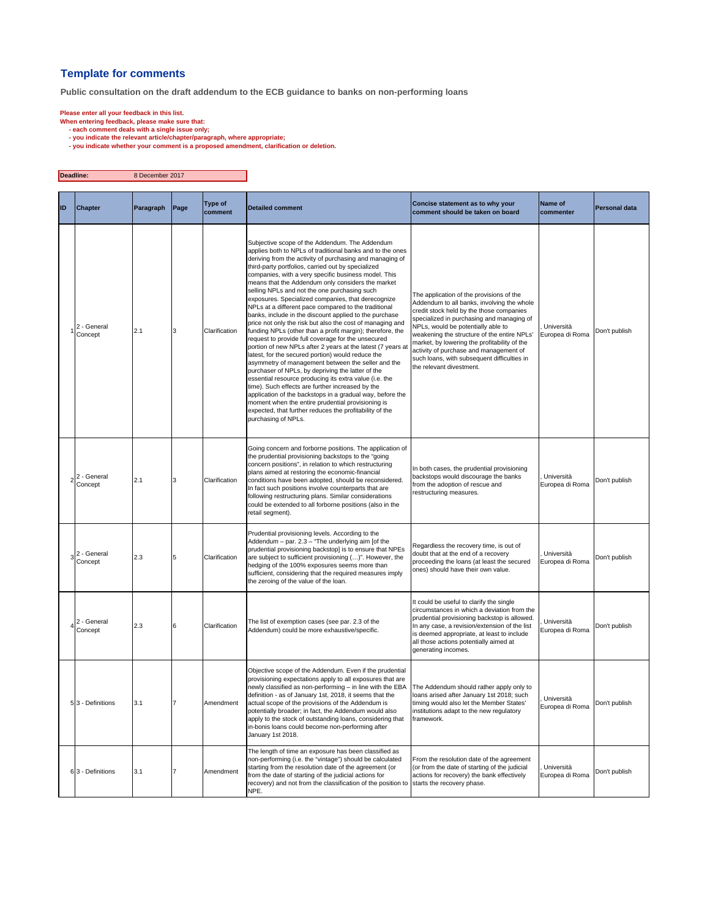## **Template for comments**

**Public consultation on the draft addendum to the ECB guidance to banks on non-performing loans**

 $\overline{\mathbf{r}}$ 

- 
- 
- Please enter all your feedback in this list.<br>When entering feedback, please make sure that:<br>- each comment deals with a single issue only;<br>you indicate the relevant atticle/chapter/paragraph, where appropriate;<br>- you indic

| Deadline:<br>8 December 2017 |                            |           |      |                    |                                                                                                                                                                                                                                                                                                                                                                                                                                                                                                                                                                                                                                                                                                                                                                                                                                                                                                                                                                                                                                                                                                                                                                                                                                                                                                     |                                                                                                                                                                                                                                                                                                                                                                                                                                           |                               |                      |
|------------------------------|----------------------------|-----------|------|--------------------|-----------------------------------------------------------------------------------------------------------------------------------------------------------------------------------------------------------------------------------------------------------------------------------------------------------------------------------------------------------------------------------------------------------------------------------------------------------------------------------------------------------------------------------------------------------------------------------------------------------------------------------------------------------------------------------------------------------------------------------------------------------------------------------------------------------------------------------------------------------------------------------------------------------------------------------------------------------------------------------------------------------------------------------------------------------------------------------------------------------------------------------------------------------------------------------------------------------------------------------------------------------------------------------------------------|-------------------------------------------------------------------------------------------------------------------------------------------------------------------------------------------------------------------------------------------------------------------------------------------------------------------------------------------------------------------------------------------------------------------------------------------|-------------------------------|----------------------|
| ID                           | <b>Chapter</b>             | Paragraph | Page | Type of<br>comment | <b>Detailed comment</b>                                                                                                                                                                                                                                                                                                                                                                                                                                                                                                                                                                                                                                                                                                                                                                                                                                                                                                                                                                                                                                                                                                                                                                                                                                                                             | Concise statement as to why your<br>comment should be taken on board                                                                                                                                                                                                                                                                                                                                                                      | Name of<br>commenter          | <b>Personal data</b> |
|                              | 2 - General<br>Concept     | 2.1       | 3    | Clarification      | Subjective scope of the Addendum. The Addendum<br>applies both to NPLs of traditional banks and to the ones<br>deriving from the activity of purchasing and managing of<br>third-party portfolios, carried out by specialized<br>companies, with a very specific business model. This<br>means that the Addendum only considers the market<br>selling NPLs and not the one purchasing such<br>exposures. Specialized companies, that derecognize<br>NPLs at a different pace compared to the traditional<br>banks, include in the discount applied to the purchase<br>price not only the risk but also the cost of managing and<br>funding NPLs (other than a profit margin); therefore, the<br>request to provide full coverage for the unsecured<br>portion of new NPLs after 2 years at the latest (7 years at<br>latest, for the secured portion) would reduce the<br>asymmetry of management between the seller and the<br>purchaser of NPLs, by depriving the latter of the<br>essential resource producing its extra value (i.e. the<br>time). Such effects are further increased by the<br>application of the backstops in a gradual way, before the<br>moment when the entire prudential provisioning is<br>expected, that further reduces the profitability of the<br>purchasing of NPLs. | The application of the provisions of the<br>Addendum to all banks, involving the whole<br>credit stock held by the those companies<br>specialized in purchasing and managing of<br>NPLs, would be potentially able to<br>weakening the structure of the entire NPLs'<br>market, by lowering the profitability of the<br>activity of purchase and management of<br>such loans, with subsequent difficulties in<br>the relevant divestment. | Università<br>Europea di Roma | Don't publish        |
|                              | $2^2$ - General<br>Concept | 2.1       | 3    | Clarification      | Going concern and forborne positions. The application of<br>the prudential provisioning backstops to the "going<br>concern positions", in relation to which restructuring<br>plans aimed at restoring the economic-financial<br>conditions have been adopted, should be reconsidered.<br>In fact such positions involve counterparts that are<br>following restructuring plans. Similar considerations<br>could be extended to all forborne positions (also in the<br>retail segment).                                                                                                                                                                                                                                                                                                                                                                                                                                                                                                                                                                                                                                                                                                                                                                                                              | In both cases, the prudential provisioning<br>backstops would discourage the banks<br>from the adoption of rescue and<br>restructuring measures.                                                                                                                                                                                                                                                                                          | Università<br>Europea di Roma | Don't publish        |
|                              | $3^2$ - General<br>Concept | 2.3       | 5    | Clarification      | Prudential provisioning levels. According to the<br>Addendum - par. 2.3 - "The underlying aim [of the<br>prudential provisioning backstop] is to ensure that NPEs<br>are subject to sufficient provisioning ()". However, the<br>hedging of the 100% exposures seems more than<br>sufficient, considering that the required measures imply<br>the zeroing of the value of the loan.                                                                                                                                                                                                                                                                                                                                                                                                                                                                                                                                                                                                                                                                                                                                                                                                                                                                                                                 | Regardless the recovery time, is out of<br>doubt that at the end of a recovery<br>proceeding the loans (at least the secured<br>ones) should have their own value.                                                                                                                                                                                                                                                                        | Università<br>Europea di Roma | Don't publish        |
|                              | $4^2$ - General<br>Concept | 2.3       | 6    | Clarification      | The list of exemption cases (see par. 2.3 of the<br>Addendum) could be more exhaustive/specific.                                                                                                                                                                                                                                                                                                                                                                                                                                                                                                                                                                                                                                                                                                                                                                                                                                                                                                                                                                                                                                                                                                                                                                                                    | It could be useful to clarify the single<br>circumstances in which a deviation from the<br>prudential provisioning backstop is allowed.<br>In any case, a revision/extension of the list<br>is deemed appropriate, at least to include<br>all those actions potentially aimed at<br>generating incomes.                                                                                                                                   | Università<br>Europea di Roma | Don't publish        |
|                              | 5 3 - Definitions          | 3.1       |      | Amendment          | Objective scope of the Addendum. Even if the prudential<br>provisioning expectations apply to all exposures that are<br>newly classified as non-performing - in line with the EBA The Addendum should rather apply only to<br>definition - as of January 1st, 2018, it seems that the<br>actual scope of the provisions of the Addendum is<br>potentially broader; in fact, the Addendum would also<br>apply to the stock of outstanding loans, considering that<br>in-bonis loans could become non-performing after<br>January 1st 2018.                                                                                                                                                                                                                                                                                                                                                                                                                                                                                                                                                                                                                                                                                                                                                           | oans arised after January 1st 2018; such<br>timing would also let the Member States'<br>institutions adapt to the new regulatory<br>framework.                                                                                                                                                                                                                                                                                            | Università<br>Europea di Roma | Don't publish        |
|                              | 6 3 - Definitions          | 3.1       | 7    | Amendment          | The length of time an exposure has been classified as<br>non-performing (i.e. the "vintage") should be calculated<br>starting from the resolution date of the agreement (or<br>from the date of starting of the judicial actions for<br>recovery) and not from the classification of the position to<br>NPE.                                                                                                                                                                                                                                                                                                                                                                                                                                                                                                                                                                                                                                                                                                                                                                                                                                                                                                                                                                                        | From the resolution date of the agreement<br>(or from the date of starting of the judicial<br>actions for recovery) the bank effectively<br>starts the recovery phase.                                                                                                                                                                                                                                                                    | Università<br>Europea di Roma | Don't publish        |